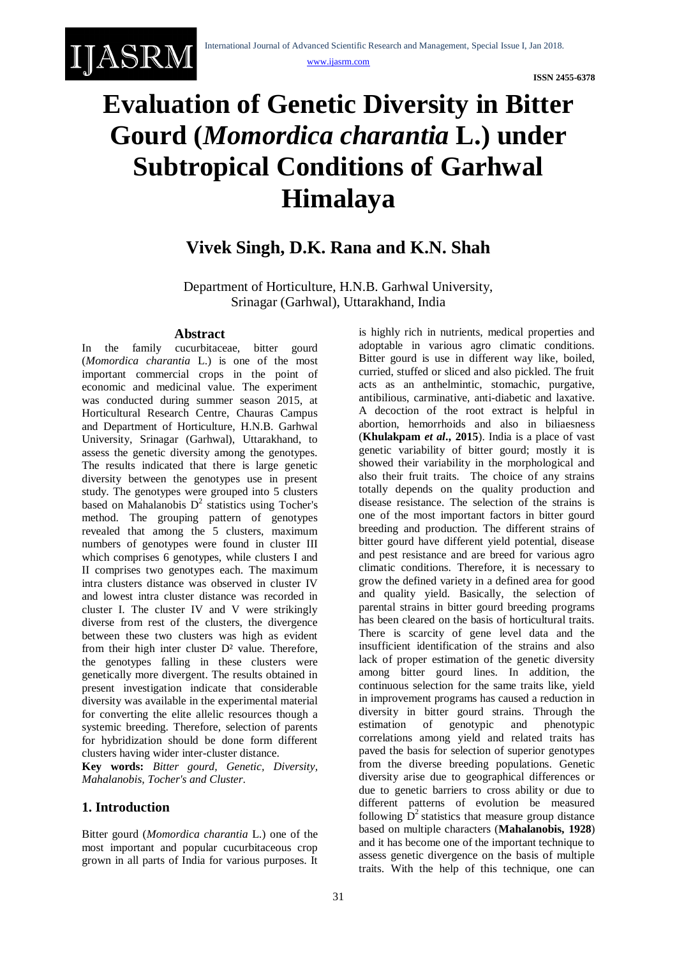# **Evaluation of Genetic Diversity in Bitter Gourd (***Momordica charantia* **L.) under Subtropical Conditions of Garhwal Himalaya**

## **Vivek Singh, D.K. Rana and K.N. Shah**

Department of Horticulture, H.N.B. Garhwal University, Srinagar (Garhwal), Uttarakhand, India

#### **Abstract**

IJASRM

In the family cucurbitaceae, bitter gourd (*Momordica charantia* L.) is one of the most important commercial crops in the point of economic and medicinal value. The experiment was conducted during summer season 2015, at Horticultural Research Centre, Chauras Campus and Department of Horticulture, H.N.B. Garhwal University, Srinagar (Garhwal), Uttarakhand, to assess the genetic diversity among the genotypes. The results indicated that there is large genetic diversity between the genotypes use in present study. The genotypes were grouped into 5 clusters based on Mahalanobis  $D^2$  statistics using Tocher's method. The grouping pattern of genotypes revealed that among the 5 clusters, maximum numbers of genotypes were found in cluster III which comprises 6 genotypes, while clusters I and II comprises two genotypes each. The maximum intra clusters distance was observed in cluster IV and lowest intra cluster distance was recorded in cluster I. The cluster IV and V were strikingly diverse from rest of the clusters, the divergence between these two clusters was high as evident from their high inter cluster D² value. Therefore, the genotypes falling in these clusters were genetically more divergent. The results obtained in present investigation indicate that considerable diversity was available in the experimental material for converting the elite allelic resources though a systemic breeding. Therefore, selection of parents for hybridization should be done form different clusters having wider inter-cluster distance.

**Key words:** *Bitter gourd, Genetic, Diversity, Mahalanobis, Tocher's and Cluster*.

#### **1. Introduction**

Bitter gourd (*Momordica charantia* L.) one of the most important and popular cucurbitaceous crop grown in all parts of India for various purposes. It

is highly rich in nutrients, medical properties and adoptable in various agro climatic conditions. Bitter gourd is use in different way like, boiled, curried, stuffed or sliced and also pickled. The fruit acts as an anthelmintic, stomachic, purgative, antibilious, carminative, anti-diabetic and laxative. A decoction of the root extract is helpful in abortion, hemorrhoids and also in biliaesness (**Khulakpam** *et al***., 2015**). India is a place of vast genetic variability of bitter gourd; mostly it is showed their variability in the morphological and also their fruit traits. The choice of any strains totally depends on the quality production and disease resistance. The selection of the strains is one of the most important factors in bitter gourd breeding and production. The different strains of bitter gourd have different yield potential, disease and pest resistance and are breed for various agro climatic conditions. Therefore, it is necessary to grow the defined variety in a defined area for good and quality yield. Basically, the selection of parental strains in bitter gourd breeding programs has been cleared on the basis of horticultural traits. There is scarcity of gene level data and the insufficient identification of the strains and also lack of proper estimation of the genetic diversity among bitter gourd lines. In addition, the continuous selection for the same traits like, yield in improvement programs has caused a reduction in diversity in bitter gourd strains. Through the estimation of genotypic and phenotypic correlations among yield and related traits has paved the basis for selection of superior genotypes from the diverse breeding populations. Genetic diversity arise due to geographical differences or due to genetic barriers to cross ability or due to different patterns of evolution be measured following  $D<sup>2</sup>$  statistics that measure group distance based on multiple characters (**Mahalanobis, 1928**) and it has become one of the important technique to assess genetic divergence on the basis of multiple traits. With the help of this technique, one can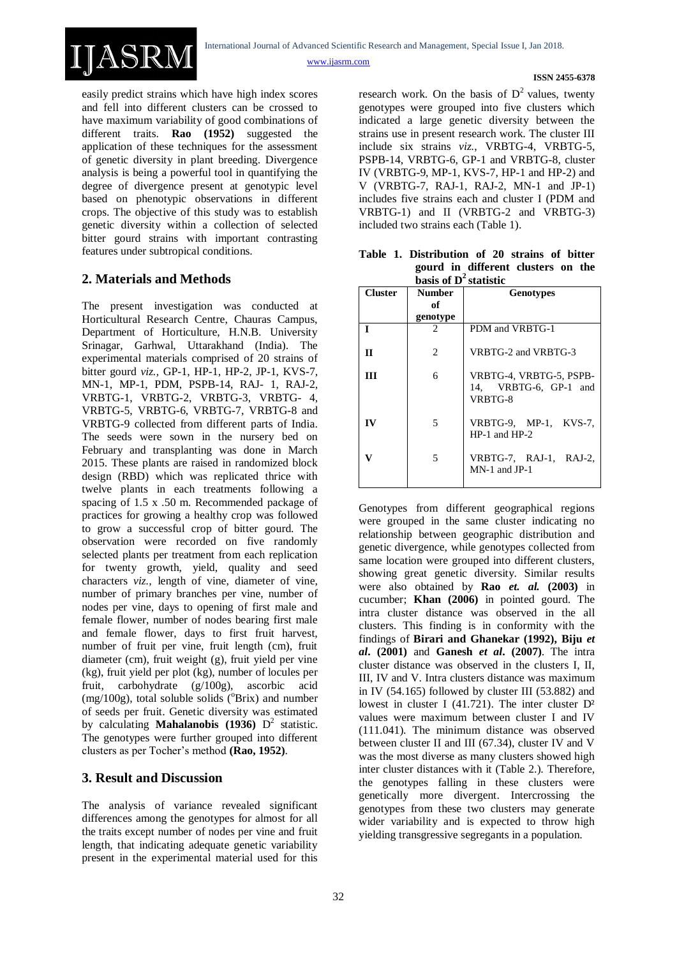easily predict strains which have high index scores and fell into different clusters can be crossed to have maximum variability of good combinations of different traits. **Rao (1952)** suggested the application of these techniques for the assessment of genetic diversity in plant breeding. Divergence analysis is being a powerful tool in quantifying the degree of divergence present at genotypic level based on phenotypic observations in different crops. The objective of this study was to establish genetic diversity within a collection of selected bitter gourd strains with important contrasting features under subtropical conditions.

#### **2. Materials and Methods**

IJASRM

The present investigation was conducted at Horticultural Research Centre, Chauras Campus, Department of Horticulture, H.N.B. University Srinagar, Garhwal, Uttarakhand (India). The experimental materials comprised of 20 strains of bitter gourd *viz.,* GP-1, HP-1, HP-2, JP-1, KVS-7, MN-1, MP-1, PDM, PSPB-14, RAJ- 1, RAJ-2, VRBTG-1, VRBTG-2, VRBTG-3, VRBTG- 4, VRBTG-5, VRBTG-6, VRBTG-7, VRBTG-8 and VRBTG-9 collected from different parts of India. The seeds were sown in the nursery bed on February and transplanting was done in March 2015. These plants are raised in randomized block design (RBD) which was replicated thrice with twelve plants in each treatments following a spacing of 1.5 x .50 m. Recommended package of practices for growing a healthy crop was followed to grow a successful crop of bitter gourd. The observation were recorded on five randomly selected plants per treatment from each replication for twenty growth, yield, quality and seed characters *viz.,* length of vine, diameter of vine, number of primary branches per vine, number of nodes per vine, days to opening of first male and female flower, number of nodes bearing first male and female flower, days to first fruit harvest, number of fruit per vine, fruit length (cm), fruit diameter (cm), fruit weight (g), fruit yield per vine (kg), fruit yield per plot (kg), number of locules per fruit, carbohydrate (g/100g), ascorbic acid  $(mg/100g)$ , total soluble solids ( $^{0}$ Brix) and number of seeds per fruit. Genetic diversity was estimated by calculating **Mahalanobis (1936)** D 2 statistic. The genotypes were further grouped into different clusters as per Tocher's method **(Rao, 1952)**.

#### **3. Result and Discussion**

The analysis of variance revealed significant differences among the genotypes for almost for all the traits except number of nodes per vine and fruit length, that indicating adequate genetic variability present in the experimental material used for this

research work. On the basis of  $D<sup>2</sup>$  values, twenty genotypes were grouped into five clusters which indicated a large genetic diversity between the strains use in present research work. The cluster III include six strains *viz.*, VRBTG-4, VRBTG-5, PSPB-14, VRBTG-6, GP-1 and VRBTG-8, cluster IV (VRBTG-9, MP-1, KVS-7, HP-1 and HP-2) and V (VRBTG-7, RAJ-1, RAJ-2, MN-1 and JP-1) includes five strains each and cluster I (PDM and VRBTG-1) and II (VRBTG-2 and VRBTG-3) included two strains each (Table 1).

**Table 1. Distribution of 20 strains of bitter gourd in different clusters on the basis of D<sup>2</sup>statistic**

| <b>Cluster</b> | <b>Number</b>  | <b>Genotypes</b>                                            |  |  |  |  |  |
|----------------|----------------|-------------------------------------------------------------|--|--|--|--|--|
|                | of             |                                                             |  |  |  |  |  |
|                | genotype       |                                                             |  |  |  |  |  |
| Т              | $\mathfrak{D}$ | PDM and VRBTG-1                                             |  |  |  |  |  |
| $\mathbf{H}$   | 2              | VRBTG-2 and VRBTG-3                                         |  |  |  |  |  |
| III            | 6              | VRBTG-4, VRBTG-5, PSPB-<br>14, VRBTG-6, GP-1 and<br>VRBTG-8 |  |  |  |  |  |
| $\bf{IV}$      | 5              | VRBTG-9, $MP-1$ , KVS-7,<br>$HP-1$ and $HP-2$               |  |  |  |  |  |
|                | 5              | VRBTG-7, RAJ-1, RAJ-2,<br>$MN-1$ and $JP-1$                 |  |  |  |  |  |

Genotypes from different geographical regions were grouped in the same cluster indicating no relationship between geographic distribution and genetic divergence, while genotypes collected from same location were grouped into different clusters, showing great genetic diversity. Similar results were also obtained by **Rao** *et. al.* **(2003)** in cucumber; **Khan (2006)** in pointed gourd. The intra cluster distance was observed in the all clusters. This finding is in conformity with the findings of **Birari and Ghanekar (1992), Biju** *et al***. (2001)** and **Ganesh** *et al***. (2007)**. The intra cluster distance was observed in the clusters I, II, III, IV and V. Intra clusters distance was maximum in IV (54.165) followed by cluster III (53.882) and lowest in cluster I (41.721). The inter cluster D² values were maximum between cluster I and IV (111.041). The minimum distance was observed between cluster II and III (67.34), cluster IV and V was the most diverse as many clusters showed high inter cluster distances with it (Table 2.). Therefore, the genotypes falling in these clusters were genetically more divergent. Intercrossing the genotypes from these two clusters may generate wider variability and is expected to throw high yielding transgressive segregants in a population.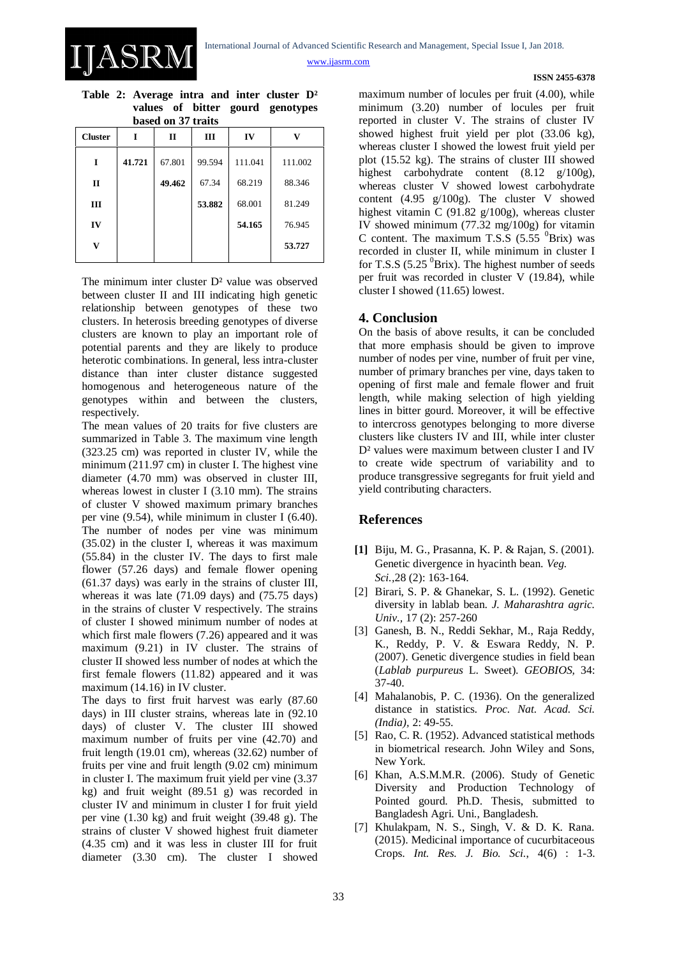**ISSN 2455-6378**

**Table 2: Average intra and inter cluster D² values of bitter gourd genotypes based on 37 traits**

IASRN

| vastu vu or u ans   |        |              |        |         |         |  |  |  |  |
|---------------------|--------|--------------|--------|---------|---------|--|--|--|--|
| <b>Cluster</b><br>I |        | $\mathbf{I}$ | Ш      | IV      | v       |  |  |  |  |
| 1                   | 41.721 | 67.801       | 99.594 | 111.041 | 111.002 |  |  |  |  |
| П                   |        | 49.462       | 67.34  | 68.219  | 88.346  |  |  |  |  |
| Ш                   |        |              | 53.882 | 68.001  | 81.249  |  |  |  |  |
| IV                  |        |              |        | 54.165  | 76.945  |  |  |  |  |
| v                   |        |              |        |         | 53.727  |  |  |  |  |
|                     |        |              |        |         |         |  |  |  |  |

The minimum inter cluster  $D^2$  value was observed between cluster II and III indicating high genetic relationship between genotypes of these two clusters. In heterosis breeding genotypes of diverse clusters are known to play an important role of potential parents and they are likely to produce heterotic combinations. In general, less intra-cluster distance than inter cluster distance suggested homogenous and heterogeneous nature of the genotypes within and between the clusters, respectively.

The mean values of 20 traits for five clusters are summarized in Table 3. The maximum vine length (323.25 cm) was reported in cluster IV, while the minimum (211.97 cm) in cluster I. The highest vine diameter (4.70 mm) was observed in cluster III, whereas lowest in cluster I (3.10 mm). The strains of cluster V showed maximum primary branches per vine (9.54), while minimum in cluster I (6.40). The number of nodes per vine was minimum (35.02) in the cluster I, whereas it was maximum (55.84) in the cluster IV. The days to first male flower (57.26 days) and female flower opening (61.37 days) was early in the strains of cluster III, whereas it was late (71.09 days) and (75.75 days) in the strains of cluster V respectively. The strains of cluster I showed minimum number of nodes at which first male flowers (7.26) appeared and it was maximum (9.21) in IV cluster. The strains of cluster II showed less number of nodes at which the first female flowers (11.82) appeared and it was maximum (14.16) in IV cluster.

The days to first fruit harvest was early (87.60 days) in III cluster strains, whereas late in (92.10 days) of cluster V. The cluster III showed maximum number of fruits per vine (42.70) and fruit length (19.01 cm), whereas (32.62) number of fruits per vine and fruit length (9.02 cm) minimum in cluster I. The maximum fruit yield per vine (3.37 kg) and fruit weight (89.51 g) was recorded in cluster IV and minimum in cluster I for fruit yield per vine (1.30 kg) and fruit weight (39.48 g). The strains of cluster V showed highest fruit diameter (4.35 cm) and it was less in cluster III for fruit diameter (3.30 cm). The cluster I showed maximum number of locules per fruit (4.00), while minimum (3.20) number of locules per fruit reported in cluster V. The strains of cluster IV showed highest fruit yield per plot (33.06 kg), whereas cluster I showed the lowest fruit yield per plot (15.52 kg). The strains of cluster III showed highest carbohydrate content (8.12 g/100g), whereas cluster V showed lowest carbohydrate content (4.95 g/100g). The cluster V showed highest vitamin C (91.82 g/100g), whereas cluster IV showed minimum (77.32 mg/100g) for vitamin C content. The maximum T.S.S  $(5.55 \text{ }^0B\text{rix})$  was recorded in cluster II, while minimum in cluster I for T.S.S (5.25  $^{0}$ Brix). The highest number of seeds per fruit was recorded in cluster V (19.84), while cluster I showed (11.65) lowest.

#### **4. Conclusion**

On the basis of above results, it can be concluded that more emphasis should be given to improve number of nodes per vine, number of fruit per vine, number of primary branches per vine, days taken to opening of first male and female flower and fruit length, while making selection of high yielding lines in bitter gourd. Moreover, it will be effective to intercross genotypes belonging to more diverse clusters like clusters IV and III, while inter cluster D<sup>2</sup> values were maximum between cluster I and IV to create wide spectrum of variability and to produce transgressive segregants for fruit yield and yield contributing characters.

#### **References**

- **[1]** Biju, M. G., Prasanna, K. P. & Rajan, S. (2001). Genetic divergence in hyacinth bean. *Veg. Sci.,*28 (2): 163-164.
- [2] Birari, S. P. & Ghanekar, S. L. (1992). Genetic diversity in lablab bean. *J. Maharashtra agric. Univ.,* 17 (2): 257-260
- [3] Ganesh, B. N., Reddi Sekhar, M., Raja Reddy, K., Reddy, P. V. & Eswara Reddy, N. P. (2007). Genetic divergence studies in field bean (*Lablab purpureus* L. Sweet). *GEOBIOS,* 34: 37-40.
- [4] Mahalanobis, P. C. (1936). On the generalized distance in statistics*. Proc. Nat. Acad. Sci. (India),* 2: 49-55.
- [5] Rao, C. R. (1952). Advanced statistical methods in biometrical research. John Wiley and Sons, New York.
- [6] Khan, A.S.M.M.R. (2006). Study of Genetic Diversity and Production Technology of Pointed gourd. Ph.D. Thesis, submitted to Bangladesh Agri. Uni., Bangladesh.
- [7] Khulakpam, N. S., Singh, V. & D. K. Rana. (2015). Medicinal importance of cucurbitaceous Crops. *Int. Res. J. Bio. Sci.*, 4(6) : 1-3.